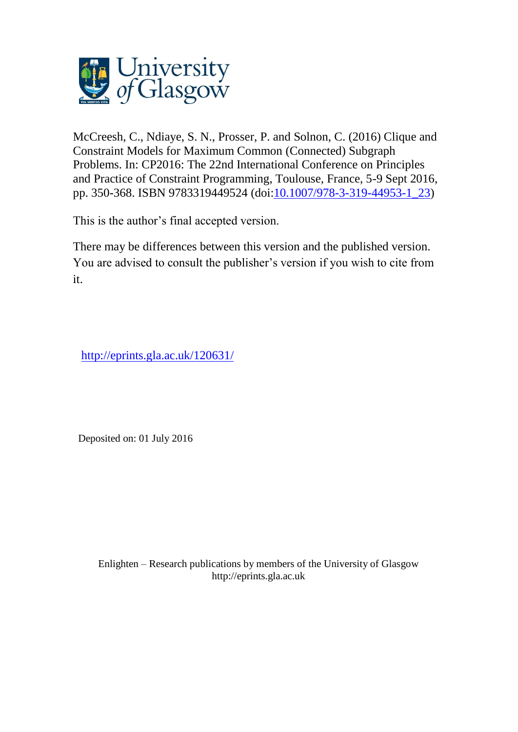

McCreesh, C., Ndiaye, S. N., Prosser, P. and Solnon, C. (2016) Clique and Constraint Models for Maximum Common (Connected) Subgraph Problems. In: CP2016: The 22nd International Conference on Principles and Practice of Constraint Programming, Toulouse, France, 5-9 Sept 2016, pp. 350-368. ISBN 9783319449524 (doi[:10.1007/978-3-319-44953-1\\_23\)](http://dx.doi.org/10.1007/978-3-319-44953-1_23)

This is the author's final accepted version.

There may be differences between this version and the published version. You are advised to consult the publisher's version if you wish to cite from it.

<http://eprints.gla.ac.uk/120631/>

Deposited on: 01 July 2016

Enlighten – Research publications by members of the University of Glasgo[w](http://eprints.gla.ac.uk/) [http://eprints.gla.ac.uk](http://eprints.gla.ac.uk/)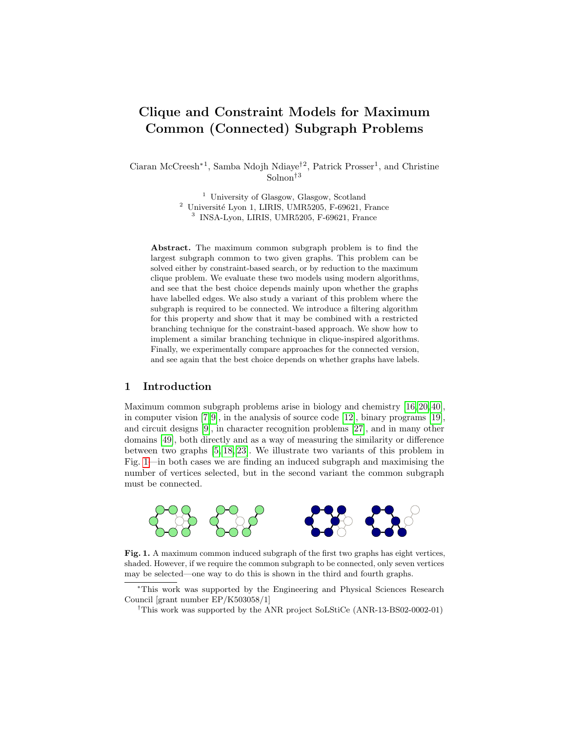# Clique and Constraint Models for Maximum Common (Connected) Subgraph Problems

Ciaran McCreesh<sup>∗1</sup>, Samba Ndojh Ndiaye<sup>†2</sup>, Patrick Prosser<sup>1</sup>, and Christine Solnon†<sup>3</sup>

> $^{\rm 1}$ University of Glasgow, Glasgow, Scotland <sup>2</sup> Université Lyon 1, LIRIS, UMR5205, F-69621, France 3 INSA-Lyon, LIRIS, UMR5205, F-69621, France

Abstract. The maximum common subgraph problem is to find the largest subgraph common to two given graphs. This problem can be solved either by constraint-based search, or by reduction to the maximum clique problem. We evaluate these two models using modern algorithms, and see that the best choice depends mainly upon whether the graphs have labelled edges. We also study a variant of this problem where the subgraph is required to be connected. We introduce a filtering algorithm for this property and show that it may be combined with a restricted branching technique for the constraint-based approach. We show how to implement a similar branching technique in clique-inspired algorithms. Finally, we experimentally compare approaches for the connected version, and see again that the best choice depends on whether graphs have labels.

# 1 Introduction

Maximum common subgraph problems arise in biology and chemistry [\[16,](#page-17-0) [20,](#page-17-1) [40\]](#page-18-0), in computer vision  $(7, 9)$ , in the analysis of source code  $[12]$ , binary programs  $[19]$ , and circuit designs [\[9\]](#page-16-1), in character recognition problems [\[27\]](#page-17-3), and in many other domains [\[49\]](#page-19-0), both directly and as a way of measuring the similarity or difference between two graphs [\[5,](#page-16-3) [18,](#page-17-4) [23\]](#page-17-5). We illustrate two variants of this problem in Fig. [1—](#page-1-0)in both cases we are finding an induced subgraph and maximising the number of vertices selected, but in the second variant the common subgraph must be connected.



Fig. 1. A maximum common induced subgraph of the first two graphs has eight vertices, shaded. However, if we require the common subgraph to be connected, only seven vertices may be selected—one way to do this is shown in the third and fourth graphs.

<span id="page-1-0"></span><sup>∗</sup>This work was supported by the Engineering and Physical Sciences Research Council [grant number EP/K503058/1]

<sup>†</sup>This work was supported by the ANR project SoLStiCe (ANR-13-BS02-0002-01)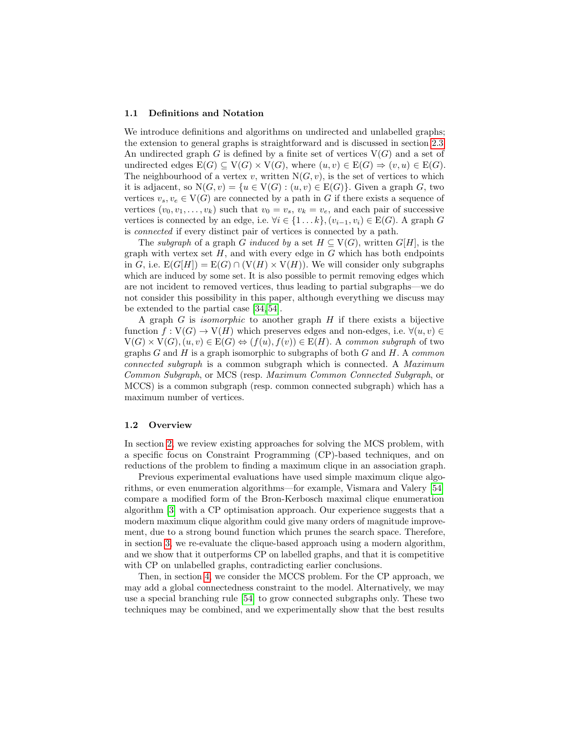#### 1.1 Definitions and Notation

We introduce definitions and algorithms on undirected and unlabelled graphs; the extension to general graphs is straightforward and is discussed in section [2.3.](#page-5-0) An undirected graph G is defined by a finite set of vertices  $V(G)$  and a set of undirected edges  $E(G) \subseteq V(G) \times V(G)$ , where  $(u, v) \in E(G) \Rightarrow (v, u) \in E(G)$ . The neighbourhood of a vertex v, written  $N(G, v)$ , is the set of vertices to which it is adjacent, so  $N(G, v) = \{u \in V(G) : (u, v) \in E(G)\}\)$ . Given a graph G, two vertices  $v_s, v_e \in V(G)$  are connected by a path in G if there exists a sequence of vertices  $(v_0, v_1, \ldots, v_k)$  such that  $v_0 = v_s$ ,  $v_k = v_e$ , and each pair of successive vertices is connected by an edge, i.e.  $\forall i \in \{1 \dots k\}, (v_{i-1}, v_i) \in E(G)$ . A graph G is connected if every distinct pair of vertices is connected by a path.

The subgraph of a graph G induced by a set  $H \subseteq V(G)$ , written  $G[H]$ , is the graph with vertex set  $H$ , and with every edge in  $G$  which has both endpoints in G, i.e.  $E(G[H]) = E(G) \cap (V(H) \times V(H))$ . We will consider only subgraphs which are induced by some set. It is also possible to permit removing edges which are not incident to removed vertices, thus leading to partial subgraphs—we do not consider this possibility in this paper, although everything we discuss may be extended to the partial case [\[34,](#page-18-1) [54\]](#page-20-0).

A graph  $G$  is *isomorphic* to another graph  $H$  if there exists a bijective function  $f: V(G) \to V(H)$  which preserves edges and non-edges, i.e.  $\forall (u, v) \in$  $V(G) \times V(G), (u, v) \in E(G) \Leftrightarrow (f(u), f(v)) \in E(H)$ . A common subgraph of two graphs G and H is a graph isomorphic to subgraphs of both G and H. A common connected subgraph is a common subgraph which is connected. A Maximum Common Subgraph, or MCS (resp. Maximum Common Connected Subgraph, or MCCS) is a common subgraph (resp. common connected subgraph) which has a maximum number of vertices.

#### 1.2 Overview

In section [2,](#page-3-0) we review existing approaches for solving the MCS problem, with a specific focus on Constraint Programming (CP)-based techniques, and on reductions of the problem to finding a maximum clique in an association graph.

Previous experimental evaluations have used simple maximum clique algorithms, or even enumeration algorithms—for example, Vismara and Valery [\[54\]](#page-20-0) compare a modified form of the Bron-Kerbosch maximal clique enumeration algorithm [\[3\]](#page-16-4) with a CP optimisation approach. Our experience suggests that a modern maximum clique algorithm could give many orders of magnitude improvement, due to a strong bound function which prunes the search space. Therefore, in section [3,](#page-5-1) we re-evaluate the clique-based approach using a modern algorithm, and we show that it outperforms CP on labelled graphs, and that it is competitive with CP on unlabelled graphs, contradicting earlier conclusions.

Then, in section [4,](#page-7-0) we consider the MCCS problem. For the CP approach, we may add a global connectedness constraint to the model. Alternatively, we may use a special branching rule [\[54\]](#page-20-0) to grow connected subgraphs only. These two techniques may be combined, and we experimentally show that the best results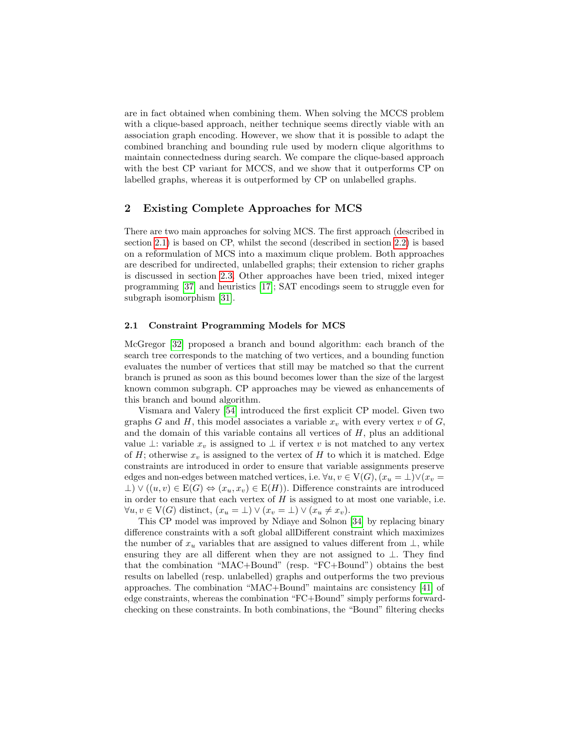are in fact obtained when combining them. When solving the MCCS problem with a clique-based approach, neither technique seems directly viable with an association graph encoding. However, we show that it is possible to adapt the combined branching and bounding rule used by modern clique algorithms to maintain connectedness during search. We compare the clique-based approach with the best CP variant for MCCS, and we show that it outperforms CP on labelled graphs, whereas it is outperformed by CP on unlabelled graphs.

# <span id="page-3-0"></span>2 Existing Complete Approaches for MCS

There are two main approaches for solving MCS. The first approach (described in section [2.1\)](#page-3-1) is based on CP, whilst the second (described in section [2.2\)](#page-4-0) is based on a reformulation of MCS into a maximum clique problem. Both approaches are described for undirected, unlabelled graphs; their extension to richer graphs is discussed in section [2.3.](#page-5-0) Other approaches have been tried, mixed integer programming [\[37\]](#page-18-2) and heuristics [\[17\]](#page-17-6); SAT encodings seem to struggle even for subgraph isomorphism [\[31\]](#page-18-3).

## <span id="page-3-1"></span>2.1 Constraint Programming Models for MCS

McGregor [\[32\]](#page-18-4) proposed a branch and bound algorithm: each branch of the search tree corresponds to the matching of two vertices, and a bounding function evaluates the number of vertices that still may be matched so that the current branch is pruned as soon as this bound becomes lower than the size of the largest known common subgraph. CP approaches may be viewed as enhancements of this branch and bound algorithm.

Vismara and Valery [\[54\]](#page-20-0) introduced the first explicit CP model. Given two graphs G and H, this model associates a variable  $x<sub>v</sub>$  with every vertex v of G, and the domain of this variable contains all vertices of  $H$ , plus an additional value ⊥: variable  $x_v$  is assigned to ⊥ if vertex v is not matched to any vertex of H; otherwise  $x_v$  is assigned to the vertex of H to which it is matched. Edge constraints are introduced in order to ensure that variable assignments preserve edges and non-edges between matched vertices, i.e.  $\forall u, v \in V(G)$ ,  $(x_u = \bot) \vee (x_v =$  $\bot$ )  $\vee$   $((u, v) \in E(G) \Leftrightarrow (x_u, x_v) \in E(H))$ . Difference constraints are introduced in order to ensure that each vertex of  $H$  is assigned to at most one variable, i.e.  $\forall u, v \in V(G)$  distinct,  $(x_u = \bot) \vee (x_v = \bot) \vee (x_u \neq x_v)$ .

This CP model was improved by Ndiaye and Solnon [\[34\]](#page-18-1) by replacing binary difference constraints with a soft global allDifferent constraint which maximizes the number of  $x_u$  variables that are assigned to values different from  $\perp$ , while ensuring they are all different when they are not assigned to  $\bot$ . They find that the combination "MAC+Bound" (resp. "FC+Bound") obtains the best results on labelled (resp. unlabelled) graphs and outperforms the two previous approaches. The combination "MAC+Bound" maintains arc consistency [\[41\]](#page-18-5) of edge constraints, whereas the combination "FC+Bound" simply performs forwardchecking on these constraints. In both combinations, the "Bound" filtering checks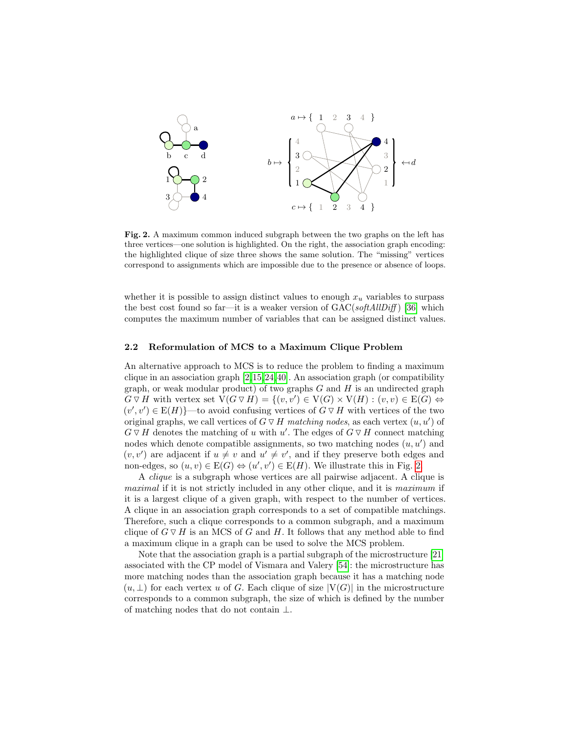

<span id="page-4-1"></span>Fig. 2. A maximum common induced subgraph between the two graphs on the left has three vertices—one solution is highlighted. On the right, the association graph encoding: the highlighted clique of size three shows the same solution. The "missing" vertices correspond to assignments which are impossible due to the presence or absence of loops.

whether it is possible to assign distinct values to enough  $x<sub>u</sub>$  variables to surpass the best cost found so far—it is a weaker version of  $GAC(softAllDiff)$  [\[36\]](#page-18-6) which computes the maximum number of variables that can be assigned distinct values.

### <span id="page-4-0"></span>2.2 Reformulation of MCS to a Maximum Clique Problem

An alternative approach to MCS is to reduce the problem to finding a maximum clique in an association graph  $[2,15,24,40]$  $[2,15,24,40]$  $[2,15,24,40]$  $[2,15,24,40]$ . An association graph (or compatibility graph, or weak modular product) of two graphs  $G$  and  $H$  is an undirected graph  $G \triangledown H$  with vertex set  $V(G \triangledown H) = \{(v, v') \in V(G) \times V(H) : (v, v) \in E(G) \Leftrightarrow$  $(v', v') \in E(H)$  to avoid confusing vertices of  $G \triangledown H$  with vertices of the two original graphs, we call vertices of  $G \triangledown H$  matching nodes, as each vertex  $(u, u')$  of  $G \triangledown H$  denotes the matching of u with u'. The edges of  $G \triangledown H$  connect matching nodes which denote compatible assignments, so two matching nodes  $(u, u')$  and  $(v, v')$  are adjacent if  $u \neq v$  and  $u' \neq v'$ , and if they preserve both edges and non-edges, so  $(u, v) \in E(G) \Leftrightarrow (u', v') \in E(H)$ . We illustrate this in Fig. [2.](#page-4-1)

A clique is a subgraph whose vertices are all pairwise adjacent. A clique is maximal if it is not strictly included in any other clique, and it is maximum if it is a largest clique of a given graph, with respect to the number of vertices. A clique in an association graph corresponds to a set of compatible matchings. Therefore, such a clique corresponds to a common subgraph, and a maximum clique of  $G \triangledown H$  is an MCS of G and H. It follows that any method able to find a maximum clique in a graph can be used to solve the MCS problem.

Note that the association graph is a partial subgraph of the microstructure [\[21\]](#page-17-9) associated with the CP model of Vismara and Valery [\[54\]](#page-20-0): the microstructure has more matching nodes than the association graph because it has a matching node  $(u, \perp)$  for each vertex u of G. Each clique of size  $|V(G)|$  in the microstructure corresponds to a common subgraph, the size of which is defined by the number of matching nodes that do not contain ⊥.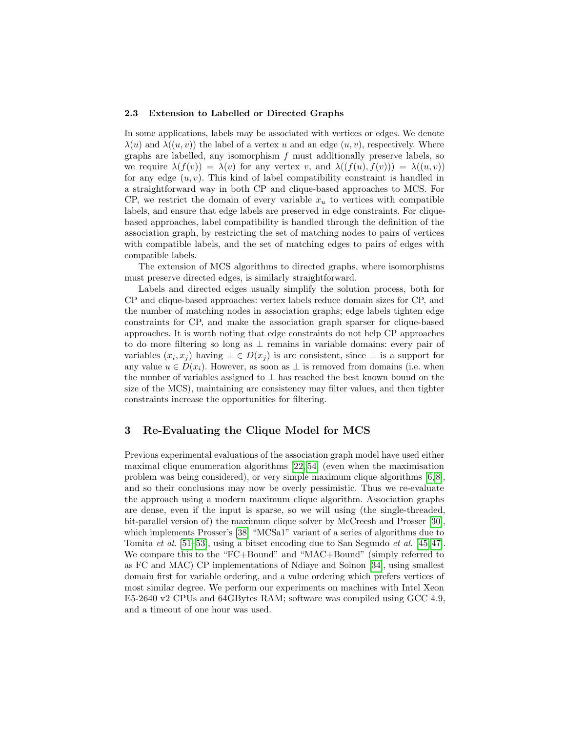## <span id="page-5-0"></span>2.3 Extension to Labelled or Directed Graphs

In some applications, labels may be associated with vertices or edges. We denote  $\lambda(u)$  and  $\lambda((u, v))$  the label of a vertex u and an edge  $(u, v)$ , respectively. Where graphs are labelled, any isomorphism  $f$  must additionally preserve labels, so we require  $\lambda(f(v)) = \lambda(v)$  for any vertex v, and  $\lambda((f(u), f(v))) = \lambda((u, v))$ for any edge  $(u, v)$ . This kind of label compatibility constraint is handled in a straightforward way in both CP and clique-based approaches to MCS. For CP, we restrict the domain of every variable  $x<sub>u</sub>$  to vertices with compatible labels, and ensure that edge labels are preserved in edge constraints. For cliquebased approaches, label compatibility is handled through the definition of the association graph, by restricting the set of matching nodes to pairs of vertices with compatible labels, and the set of matching edges to pairs of edges with compatible labels.

The extension of MCS algorithms to directed graphs, where isomorphisms must preserve directed edges, is similarly straightforward.

Labels and directed edges usually simplify the solution process, both for CP and clique-based approaches: vertex labels reduce domain sizes for CP, and the number of matching nodes in association graphs; edge labels tighten edge constraints for CP, and make the association graph sparser for clique-based approaches. It is worth noting that edge constraints do not help CP approaches to do more filtering so long as ⊥ remains in variable domains: every pair of variables  $(x_i, x_j)$  having  $\bot \in D(x_j)$  is arc consistent, since  $\bot$  is a support for any value  $u \in D(x_i)$ . However, as soon as  $\perp$  is removed from domains (i.e. when the number of variables assigned to  $\perp$  has reached the best known bound on the size of the MCS), maintaining arc consistency may filter values, and then tighter constraints increase the opportunities for filtering.

## <span id="page-5-1"></span>3 Re-Evaluating the Clique Model for MCS

Previous experimental evaluations of the association graph model have used either maximal clique enumeration algorithms [\[22,](#page-17-10) [54\]](#page-20-0) (even when the maximisation problem was being considered), or very simple maximum clique algorithms [\[6,](#page-16-6) [8\]](#page-16-7), and so their conclusions may now be overly pessimistic. Thus we re-evaluate the approach using a modern maximum clique algorithm. Association graphs are dense, even if the input is sparse, so we will using (the single-threaded, bit-parallel version of) the maximum clique solver by McCreesh and Prosser [\[30\]](#page-18-7), which implements Prosser's [\[38\]](#page-18-8) "MCSa1" variant of a series of algorithms due to Tomita et al. [\[51](#page-19-1)[–53\]](#page-19-2), using a bitset encoding due to San Segundo et al. [\[45,](#page-19-3) [47\]](#page-19-4). We compare this to the "FC+Bound" and "MAC+Bound" (simply referred to as FC and MAC) CP implementations of Ndiaye and Solnon [\[34\]](#page-18-1), using smallest domain first for variable ordering, and a value ordering which prefers vertices of most similar degree. We perform our experiments on machines with Intel Xeon E5-2640 v2 CPUs and 64GBytes RAM; software was compiled using GCC 4.9, and a timeout of one hour was used.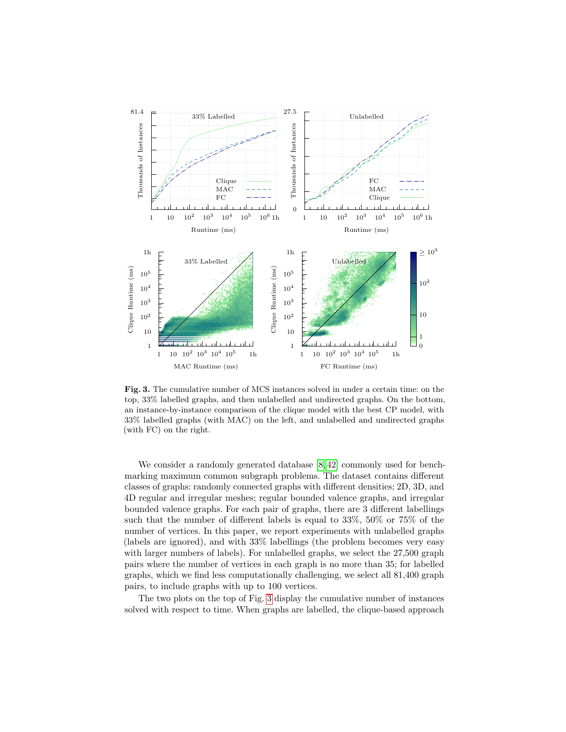

<span id="page-6-0"></span>Fig. 3. The cumulative number of MCS instances solved in under a certain time: on the top, 33% labelled graphs, and then unlabelled and undirected graphs. On the bottom, an instance-by-instance comparison of the clique model with the best CP model, with 33% labelled graphs (with MAC) on the left, and unlabelled and undirected graphs (with FC) on the right.

We consider a randomly generated database  $[8, 42]$  $[8, 42]$  commonly used for benchmarking maximum common subgraph problems. The dataset contains different classes of graphs: randomly connected graphs with different densities; 2D, 3D, and 4D regular and irregular meshes; regular bounded valence graphs, and irregular bounded valence graphs. For each pair of graphs, there are 3 different labellings such that the number of different labels is equal to 33%, 50% or 75% of the number of vertices. In this paper, we report experiments with unlabelled graphs (labels are ignored), and with 33% labellings (the problem becomes very easy with larger numbers of labels). For unlabelled graphs, we select the 27,500 graph pairs where the number of vertices in each graph is no more than 35; for labelled graphs, which we find less computationally challenging, we select all 81,400 graph pairs, to include graphs with up to 100 vertices.

The two plots on the top of Fig. [3](#page-6-0) display the cumulative number of instances solved with respect to time. When graphs are labelled, the clique-based approach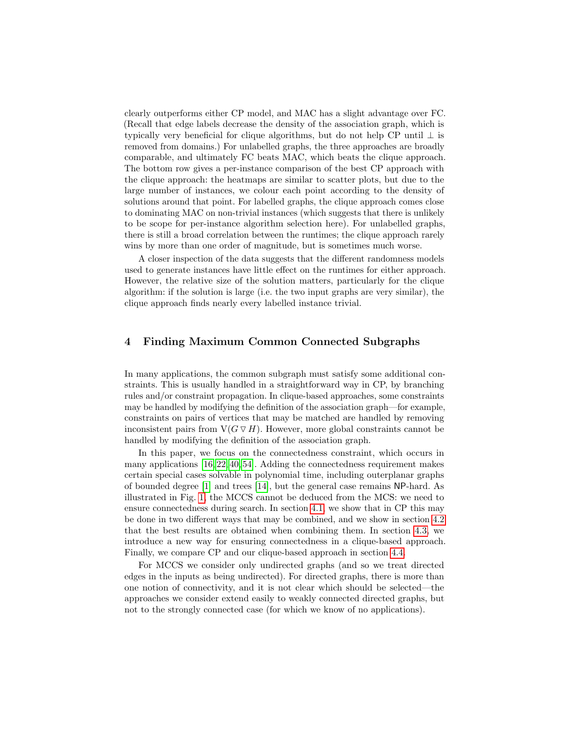clearly outperforms either CP model, and MAC has a slight advantage over FC. (Recall that edge labels decrease the density of the association graph, which is typically very beneficial for clique algorithms, but do not help CP until  $\perp$  is removed from domains.) For unlabelled graphs, the three approaches are broadly comparable, and ultimately FC beats MAC, which beats the clique approach. The bottom row gives a per-instance comparison of the best CP approach with the clique approach: the heatmaps are similar to scatter plots, but due to the large number of instances, we colour each point according to the density of solutions around that point. For labelled graphs, the clique approach comes close to dominating MAC on non-trivial instances (which suggests that there is unlikely to be scope for per-instance algorithm selection here). For unlabelled graphs, there is still a broad correlation between the runtimes; the clique approach rarely wins by more than one order of magnitude, but is sometimes much worse.

A closer inspection of the data suggests that the different randomness models used to generate instances have little effect on the runtimes for either approach. However, the relative size of the solution matters, particularly for the clique algorithm: if the solution is large (i.e. the two input graphs are very similar), the clique approach finds nearly every labelled instance trivial.

## <span id="page-7-0"></span>4 Finding Maximum Common Connected Subgraphs

In many applications, the common subgraph must satisfy some additional constraints. This is usually handled in a straightforward way in CP, by branching rules and/or constraint propagation. In clique-based approaches, some constraints may be handled by modifying the definition of the association graph—for example, constraints on pairs of vertices that may be matched are handled by removing inconsistent pairs from  $V(G \triangledown H)$ . However, more global constraints cannot be handled by modifying the definition of the association graph.

In this paper, we focus on the connectedness constraint, which occurs in many applications [\[16,](#page-17-0) [22,](#page-17-10) [40,](#page-18-0) [54\]](#page-20-0). Adding the connectedness requirement makes certain special cases solvable in polynomial time, including outerplanar graphs of bounded degree [\[1\]](#page-16-8) and trees [\[14\]](#page-17-11), but the general case remains NP-hard. As illustrated in Fig. [1,](#page-1-0) the MCCS cannot be deduced from the MCS: we need to ensure connectedness during search. In section [4.1,](#page-8-0) we show that in CP this may be done in two different ways that may be combined, and we show in section [4.2](#page-9-0) that the best results are obtained when combining them. In section [4.3,](#page-10-0) we introduce a new way for ensuring connectedness in a clique-based approach. Finally, we compare CP and our clique-based approach in section [4.4.](#page-14-0)

For MCCS we consider only undirected graphs (and so we treat directed edges in the inputs as being undirected). For directed graphs, there is more than one notion of connectivity, and it is not clear which should be selected—the approaches we consider extend easily to weakly connected directed graphs, but not to the strongly connected case (for which we know of no applications).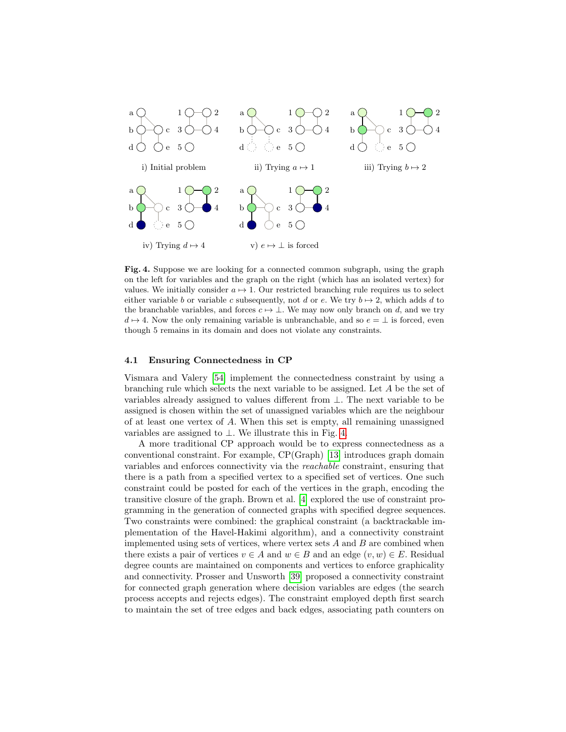

<span id="page-8-1"></span>Fig. 4. Suppose we are looking for a connected common subgraph, using the graph on the left for variables and the graph on the right (which has an isolated vertex) for values. We initially consider  $a \mapsto 1$ . Our restricted branching rule requires us to select either variable b or variable c subsequently, not d or e. We try  $b \mapsto 2$ , which adds d to the branchable variables, and forces  $c \mapsto \perp$ . We may now only branch on d, and we try  $d \mapsto 4$ . Now the only remaining variable is unbranchable, and so  $e = \perp$  is forced, even though 5 remains in its domain and does not violate any constraints.

## <span id="page-8-0"></span>4.1 Ensuring Connectedness in CP

Vismara and Valery [\[54\]](#page-20-0) implement the connectedness constraint by using a branching rule which selects the next variable to be assigned. Let A be the set of variables already assigned to values different from ⊥. The next variable to be assigned is chosen within the set of unassigned variables which are the neighbour of at least one vertex of  $A$ . When this set is empty, all remaining unassigned variables are assigned to  $\perp$ . We illustrate this in Fig. [4.](#page-8-1)

A more traditional CP approach would be to express connectedness as a conventional constraint. For example, CP(Graph) [\[13\]](#page-16-9) introduces graph domain variables and enforces connectivity via the reachable constraint, ensuring that there is a path from a specified vertex to a specified set of vertices. One such constraint could be posted for each of the vertices in the graph, encoding the transitive closure of the graph. Brown et al. [\[4\]](#page-16-10) explored the use of constraint programming in the generation of connected graphs with specified degree sequences. Two constraints were combined: the graphical constraint (a backtrackable implementation of the Havel-Hakimi algorithm), and a connectivity constraint implemented using sets of vertices, where vertex sets  $A$  and  $B$  are combined when there exists a pair of vertices  $v \in A$  and  $w \in B$  and an edge  $(v, w) \in E$ . Residual degree counts are maintained on components and vertices to enforce graphicality and connectivity. Prosser and Unsworth [\[39\]](#page-18-9) proposed a connectivity constraint for connected graph generation where decision variables are edges (the search process accepts and rejects edges). The constraint employed depth first search to maintain the set of tree edges and back edges, associating path counters on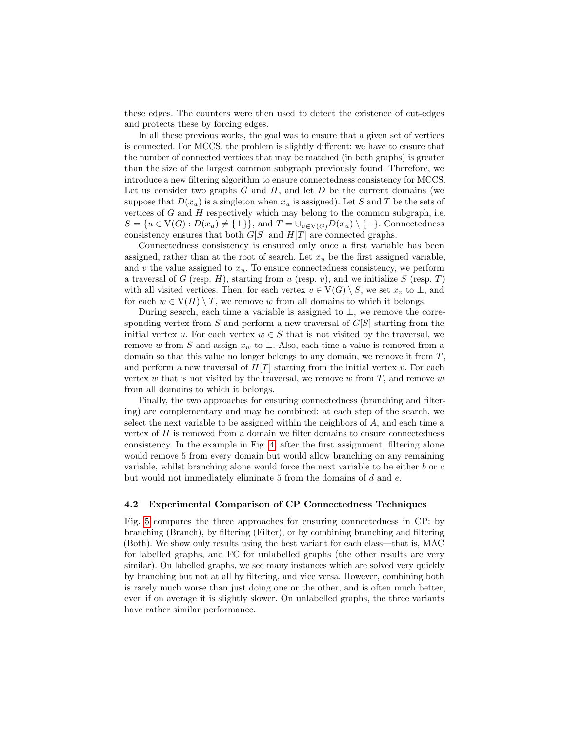these edges. The counters were then used to detect the existence of cut-edges and protects these by forcing edges.

In all these previous works, the goal was to ensure that a given set of vertices is connected. For MCCS, the problem is slightly different: we have to ensure that the number of connected vertices that may be matched (in both graphs) is greater than the size of the largest common subgraph previously found. Therefore, we introduce a new filtering algorithm to ensure connectedness consistency for MCCS. Let us consider two graphs  $G$  and  $H$ , and let  $D$  be the current domains (we suppose that  $D(x_u)$  is a singleton when  $x_u$  is assigned). Let S and T be the sets of vertices of  $G$  and  $H$  respectively which may belong to the common subgraph, i.e.  $S = \{u \in V(G) : D(x_u) \neq {\perp}\}\$ , and  $T = \bigcup_{u \in V(G)} D(x_u) \setminus {\perp}\}\$ . Connectedness consistency ensures that both  $G[S]$  and  $H[T]$  are connected graphs.

Connectedness consistency is ensured only once a first variable has been assigned, rather than at the root of search. Let  $x_u$  be the first assigned variable, and  $v$  the value assigned to  $x_u$ . To ensure connectedness consistency, we perform a traversal of G (resp.  $H$ ), starting from  $u$  (resp.  $v$ ), and we initialize  $S$  (resp.  $T$ ) with all visited vertices. Then, for each vertex  $v \in V(G) \setminus S$ , we set  $x_v$  to  $\perp$ , and for each  $w \in V(H) \setminus T$ , we remove w from all domains to which it belongs.

During search, each time a variable is assigned to  $\bot$ , we remove the corresponding vertex from S and perform a new traversal of  $G[S]$  starting from the initial vertex u. For each vertex  $w \in S$  that is not visited by the traversal, we remove w from S and assign  $x_w$  to  $\perp$ . Also, each time a value is removed from a domain so that this value no longer belongs to any domain, we remove it from T, and perform a new traversal of  $H[T]$  starting from the initial vertex v. For each vertex w that is not visited by the traversal, we remove w from  $T$ , and remove w from all domains to which it belongs.

Finally, the two approaches for ensuring connectedness (branching and filtering) are complementary and may be combined: at each step of the search, we select the next variable to be assigned within the neighbors of  $A$ , and each time a vertex of  $H$  is removed from a domain we filter domains to ensure connectedness consistency. In the example in Fig. [4,](#page-8-1) after the first assignment, filtering alone would remove 5 from every domain but would allow branching on any remaining variable, whilst branching alone would force the next variable to be either  $b$  or  $c$ but would not immediately eliminate  $5$  from the domains of  $d$  and  $e$ .

#### <span id="page-9-0"></span>4.2 Experimental Comparison of CP Connectedness Techniques

Fig. [5](#page-10-1) compares the three approaches for ensuring connectedness in CP: by branching (Branch), by filtering (Filter), or by combining branching and filtering (Both). We show only results using the best variant for each class—that is, MAC for labelled graphs, and FC for unlabelled graphs (the other results are very similar). On labelled graphs, we see many instances which are solved very quickly by branching but not at all by filtering, and vice versa. However, combining both is rarely much worse than just doing one or the other, and is often much better, even if on average it is slightly slower. On unlabelled graphs, the three variants have rather similar performance.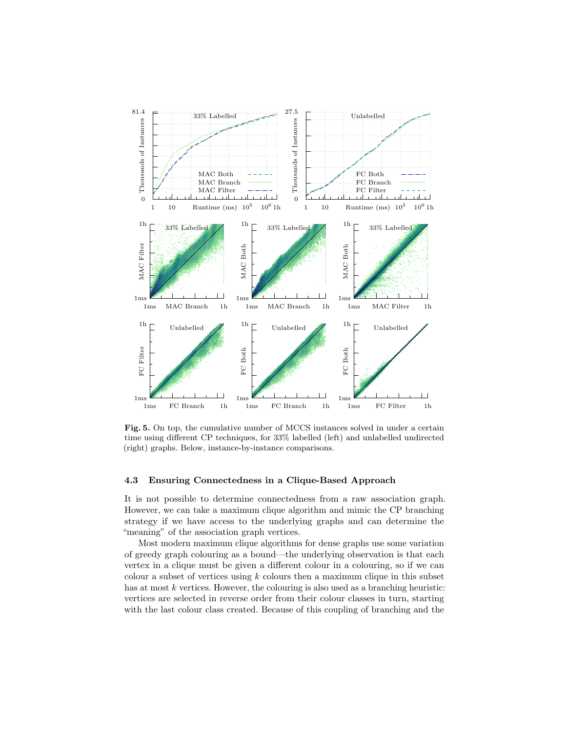

<span id="page-10-1"></span>Fig. 5. On top, the cumulative number of MCCS instances solved in under a certain time using different CP techniques, for 33% labelled (left) and unlabelled undirected (right) graphs. Below, instance-by-instance comparisons.

## <span id="page-10-0"></span>4.3 Ensuring Connectedness in a Clique-Based Approach

It is not possible to determine connectedness from a raw association graph. However, we can take a maximum clique algorithm and mimic the CP branching strategy if we have access to the underlying graphs and can determine the "meaning" of the association graph vertices.

Most modern maximum clique algorithms for dense graphs use some variation of greedy graph colouring as a bound—the underlying observation is that each vertex in a clique must be given a different colour in a colouring, so if we can colour a subset of vertices using  $k$  colours then a maximum clique in this subset has at most k vertices. However, the colouring is also used as a branching heuristic: vertices are selected in reverse order from their colour classes in turn, starting with the last colour class created. Because of this coupling of branching and the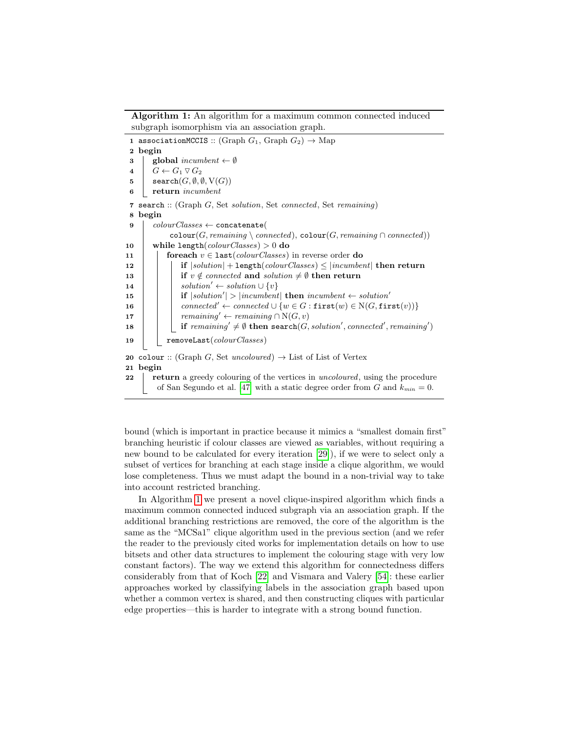Algorithm 1: An algorithm for a maximum common connected induced subgraph isomorphism via an association graph.

<span id="page-11-13"></span><span id="page-11-12"></span><span id="page-11-10"></span><span id="page-11-8"></span><span id="page-11-5"></span><span id="page-11-4"></span><span id="page-11-3"></span><span id="page-11-2"></span><span id="page-11-1"></span>1 associationMCCIS :: (Graph  $G_1$ , Graph  $G_2$ )  $\rightarrow$  Map 2 begin 3 | global incumbent  $\leftarrow \emptyset$  $4 \mid G \leftarrow G_1 \vee G_2$ 5 | search $(G, \emptyset, \emptyset, V(G))$ 6 return incumbent 7 search :: (Graph G, Set solution, Set connected, Set remaining) 8 begin 9  $\vert \quad colourClasses \leftarrow \texttt{concatenate}(\vert \$  $\texttt{colour}(G, remaining \setminus connected)$ ,  $\texttt{colour}(G, remaining \cap connected)$ ) 10 while length(colourClasses) > 0 do 11 **for each**  $v \in$  **last**(*colourClasses*) in reverse order **do** 12 if  $|solution|$  + length(colourClasses)  $\leq$  [incumbent] then return 13 if  $v \notin connected$  and solution  $\neq \emptyset$  then return 14 | | solution' ← solution  $\cup \{v\}$ 15 | | if  $|solution'|>|incumbent|$  then  $incumbent \leftarrow solution'$ 16 connected' ← connected  $\cup \{w \in G : \text{first}(w) \in N(G, \text{first}(v))\}$ 17 | | remaining' ← remaining  $\cap N(G, v)$ 18  $\Box$  if remaining'  $\neq \emptyset$  then search(*G*, solution', connected', remaining') 19 | removeLast(colourClasses) 20 colour :: (Graph G, Set uncoloured)  $\rightarrow$  List of List of Vertex 21 begin 22 return a greedy colouring of the vertices in uncoloured, using the procedure of San Segundo et al. [\[47\]](#page-19-4) with a static degree order from G and  $k_{min} = 0$ .

<span id="page-11-11"></span><span id="page-11-9"></span><span id="page-11-7"></span><span id="page-11-6"></span><span id="page-11-0"></span>bound (which is important in practice because it mimics a "smallest domain first" branching heuristic if colour classes are viewed as variables, without requiring a new bound to be calculated for every iteration [\[29\]](#page-18-10)), if we were to select only a subset of vertices for branching at each stage inside a clique algorithm, we would lose completeness. Thus we must adapt the bound in a non-trivial way to take into account restricted branching.

In Algorithm [1](#page-11-0) we present a novel clique-inspired algorithm which finds a maximum common connected induced subgraph via an association graph. If the additional branching restrictions are removed, the core of the algorithm is the same as the "MCSa1" clique algorithm used in the previous section (and we refer the reader to the previously cited works for implementation details on how to use bitsets and other data structures to implement the colouring stage with very low constant factors). The way we extend this algorithm for connectedness differs considerably from that of Koch [\[22\]](#page-17-10) and Vismara and Valery [\[54\]](#page-20-0): these earlier approaches worked by classifying labels in the association graph based upon whether a common vertex is shared, and then constructing cliques with particular edge properties—this is harder to integrate with a strong bound function.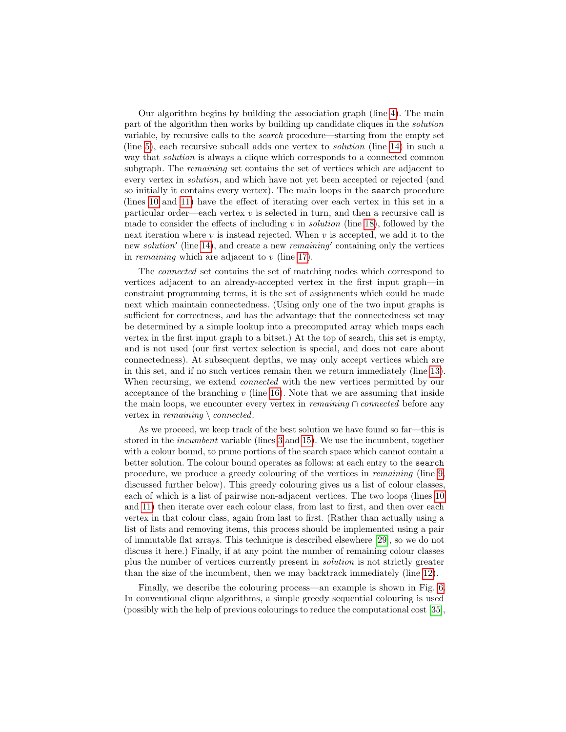Our algorithm begins by building the association graph (line [4\)](#page-11-1). The main part of the algorithm then works by building up candidate cliques in the solution variable, by recursive calls to the search procedure—starting from the empty set (line [5\)](#page-11-2), each recursive subcall adds one vertex to solution (line [14\)](#page-11-3) in such a way that solution is always a clique which corresponds to a connected common subgraph. The remaining set contains the set of vertices which are adjacent to every vertex in solution, and which have not yet been accepted or rejected (and so initially it contains every vertex). The main loops in the search procedure (lines [10](#page-11-4) and [11\)](#page-11-5) have the effect of iterating over each vertex in this set in a particular order—each vertex  $v$  is selected in turn, and then a recursive call is made to consider the effects of including  $v$  in *solution* (line [18\)](#page-11-6), followed by the next iteration where  $v$  is instead rejected. When  $v$  is accepted, we add it to the new *solution'* (line [14\)](#page-11-3), and create a new *remaining'* containing only the vertices in *remaining* which are adjacent to  $v$  (line [17\)](#page-11-7).

The connected set contains the set of matching nodes which correspond to vertices adjacent to an already-accepted vertex in the first input graph—in constraint programming terms, it is the set of assignments which could be made next which maintain connectedness. (Using only one of the two input graphs is sufficient for correctness, and has the advantage that the connectedness set may be determined by a simple lookup into a precomputed array which maps each vertex in the first input graph to a bitset.) At the top of search, this set is empty, and is not used (our first vertex selection is special, and does not care about connectedness). At subsequent depths, we may only accept vertices which are in this set, and if no such vertices remain then we return immediately (line [13\)](#page-11-8). When recursing, we extend *connected* with the new vertices permitted by our acceptance of the branching  $v$  (line [16\)](#page-11-9). Note that we are assuming that inside the main loops, we encounter every vertex in *remaining* ∩ *connected* before any vertex in *remaining*  $\Omega$ .

As we proceed, we keep track of the best solution we have found so far—this is stored in the incumbent variable (lines [3](#page-11-10) and [15\)](#page-11-11). We use the incumbent, together with a colour bound, to prune portions of the search space which cannot contain a better solution. The colour bound operates as follows: at each entry to the search procedure, we produce a greedy colouring of the vertices in remaining (line [9,](#page-11-12) discussed further below). This greedy colouring gives us a list of colour classes, each of which is a list of pairwise non-adjacent vertices. The two loops (lines [10](#page-11-4) and [11\)](#page-11-5) then iterate over each colour class, from last to first, and then over each vertex in that colour class, again from last to first. (Rather than actually using a list of lists and removing items, this process should be implemented using a pair of immutable flat arrays. This technique is described elsewhere [\[29\]](#page-18-10), so we do not discuss it here.) Finally, if at any point the number of remaining colour classes plus the number of vertices currently present in solution is not strictly greater than the size of the incumbent, then we may backtrack immediately (line [12\)](#page-11-13).

Finally, we describe the colouring process—an example is shown in Fig. [6.](#page-13-0) In conventional clique algorithms, a simple greedy sequential colouring is used (possibly with the help of previous colourings to reduce the computational cost [\[35\]](#page-18-11),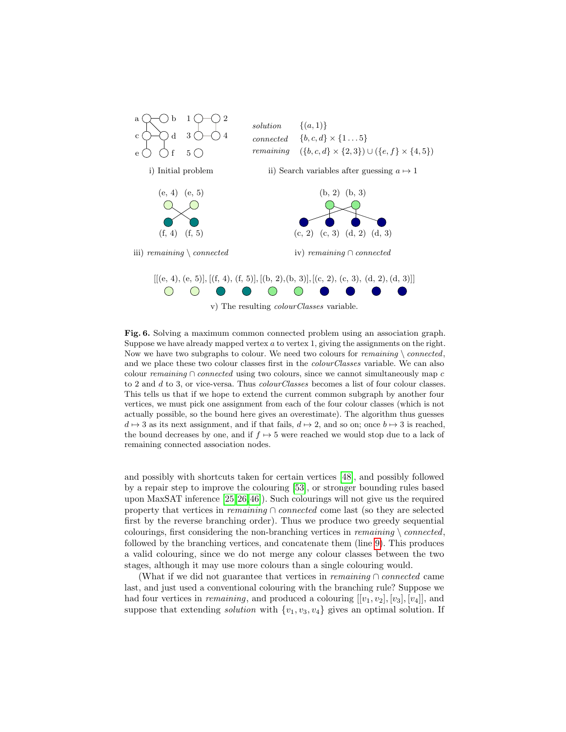

<span id="page-13-0"></span>Fig. 6. Solving a maximum common connected problem using an association graph. Suppose we have already mapped vertex  $a$  to vertex 1, giving the assignments on the right. Now we have two subgraphs to colour. We need two colours for remaining  $\setminus$  connected, and we place these two colour classes first in the *colourClasses* variable. We can also colour remaining ∩ connected using two colours, since we cannot simultaneously map  $c$ to 2 and d to 3, or vice-versa. Thus *colourClasses* becomes a list of four colour classes. This tells us that if we hope to extend the current common subgraph by another four vertices, we must pick one assignment from each of the four colour classes (which is not actually possible, so the bound here gives an overestimate). The algorithm thus guesses  $d \mapsto 3$  as its next assignment, and if that fails,  $d \mapsto 2$ , and so on; once  $b \mapsto 3$  is reached, the bound decreases by one, and if  $f \mapsto 5$  were reached we would stop due to a lack of remaining connected association nodes.

and possibly with shortcuts taken for certain vertices [\[48\]](#page-19-6), and possibly followed by a repair step to improve the colouring [\[53\]](#page-19-2), or stronger bounding rules based upon MaxSAT inference [\[25,](#page-17-12) [26,](#page-17-13) [46\]](#page-19-7)). Such colourings will not give us the required property that vertices in remaining ∩ connected come last (so they are selected first by the reverse branching order). Thus we produce two greedy sequential colourings, first considering the non-branching vertices in remaining  $\setminus$  connected, followed by the branching vertices, and concatenate them (line [9\)](#page-11-12). This produces a valid colouring, since we do not merge any colour classes between the two stages, although it may use more colours than a single colouring would.

(What if we did not guarantee that vertices in *remaining* ∩ *connected* came last, and just used a conventional colouring with the branching rule? Suppose we had four vertices in *remaining*, and produced a colouring  $[[v_1, v_2], [v_3], [v_4]]$ , and suppose that extending *solution* with  $\{v_1, v_3, v_4\}$  gives an optimal solution. If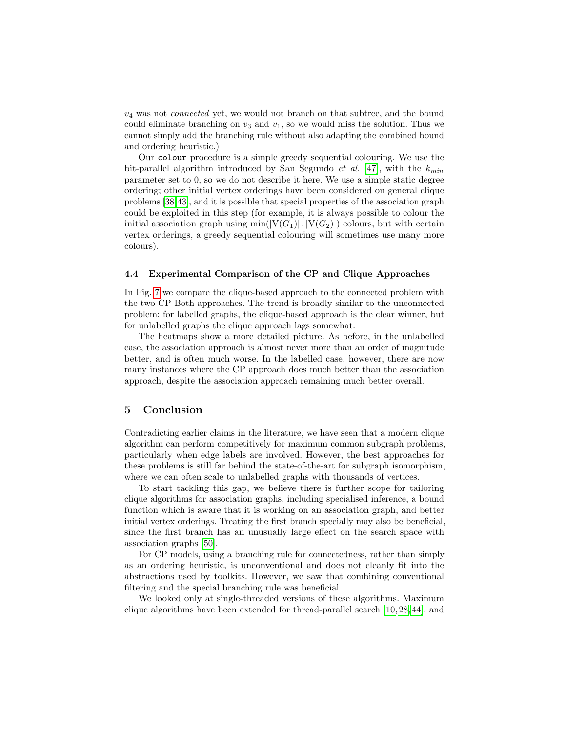$v_4$  was not *connected* yet, we would not branch on that subtree, and the bound could eliminate branching on  $v_3$  and  $v_1$ , so we would miss the solution. Thus we cannot simply add the branching rule without also adapting the combined bound and ordering heuristic.)

Our colour procedure is a simple greedy sequential colouring. We use the bit-parallel algorithm introduced by San Segundo *et al.* [\[47\]](#page-19-4), with the  $k_{min}$ parameter set to 0, so we do not describe it here. We use a simple static degree ordering; other initial vertex orderings have been considered on general clique problems [\[38,](#page-18-8)[43\]](#page-19-8), and it is possible that special properties of the association graph could be exploited in this step (for example, it is always possible to colour the initial association graph using min( $|V(G_1)|$ ,  $|V(G_2)|$ ) colours, but with certain vertex orderings, a greedy sequential colouring will sometimes use many more colours).

## <span id="page-14-0"></span>4.4 Experimental Comparison of the CP and Clique Approaches

In Fig. [7](#page-15-0) we compare the clique-based approach to the connected problem with the two CP Both approaches. The trend is broadly similar to the unconnected problem: for labelled graphs, the clique-based approach is the clear winner, but for unlabelled graphs the clique approach lags somewhat.

The heatmaps show a more detailed picture. As before, in the unlabelled case, the association approach is almost never more than an order of magnitude better, and is often much worse. In the labelled case, however, there are now many instances where the CP approach does much better than the association approach, despite the association approach remaining much better overall.

## 5 Conclusion

Contradicting earlier claims in the literature, we have seen that a modern clique algorithm can perform competitively for maximum common subgraph problems, particularly when edge labels are involved. However, the best approaches for these problems is still far behind the state-of-the-art for subgraph isomorphism, where we can often scale to unlabelled graphs with thousands of vertices.

To start tackling this gap, we believe there is further scope for tailoring clique algorithms for association graphs, including specialised inference, a bound function which is aware that it is working on an association graph, and better initial vertex orderings. Treating the first branch specially may also be beneficial, since the first branch has an unusually large effect on the search space with association graphs [\[50\]](#page-19-9).

For CP models, using a branching rule for connectedness, rather than simply as an ordering heuristic, is unconventional and does not cleanly fit into the abstractions used by toolkits. However, we saw that combining conventional filtering and the special branching rule was beneficial.

We looked only at single-threaded versions of these algorithms. Maximum clique algorithms have been extended for thread-parallel search [\[10,](#page-16-11) [28,](#page-18-12) [44\]](#page-19-10), and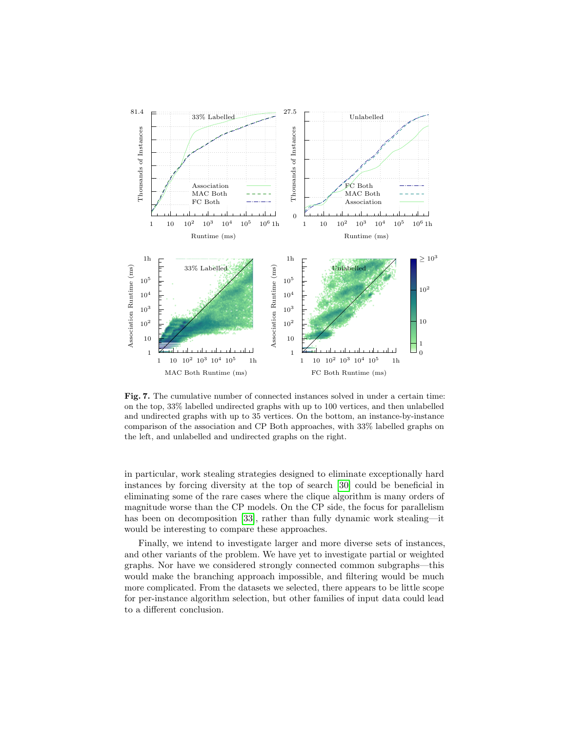

<span id="page-15-0"></span>Fig. 7. The cumulative number of connected instances solved in under a certain time: on the top, 33% labelled undirected graphs with up to 100 vertices, and then unlabelled and undirected graphs with up to 35 vertices. On the bottom, an instance-by-instance comparison of the association and CP Both approaches, with 33% labelled graphs on the left, and unlabelled and undirected graphs on the right.

in particular, work stealing strategies designed to eliminate exceptionally hard instances by forcing diversity at the top of search [\[30\]](#page-18-7) could be beneficial in eliminating some of the rare cases where the clique algorithm is many orders of magnitude worse than the CP models. On the CP side, the focus for parallelism has been on decomposition [\[33\]](#page-18-13), rather than fully dynamic work stealing—it would be interesting to compare these approaches.

Finally, we intend to investigate larger and more diverse sets of instances, and other variants of the problem. We have yet to investigate partial or weighted graphs. Nor have we considered strongly connected common subgraphs—this would make the branching approach impossible, and filtering would be much more complicated. From the datasets we selected, there appears to be little scope for per-instance algorithm selection, but other families of input data could lead to a different conclusion.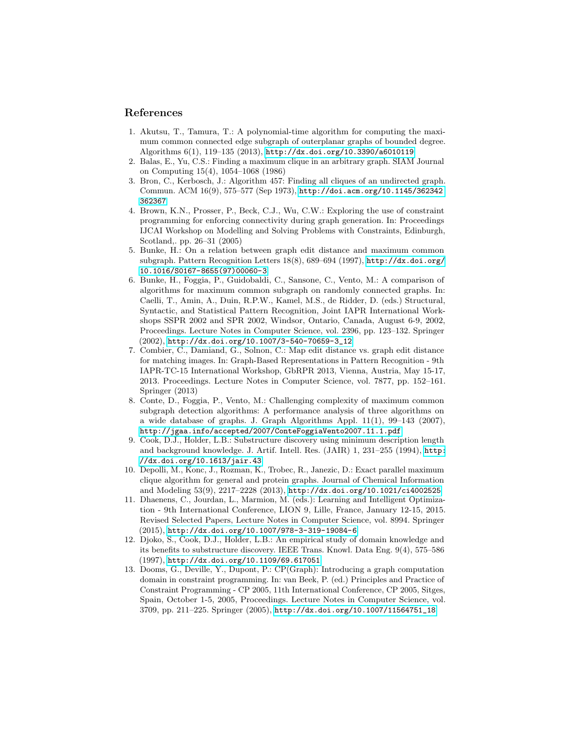## References

- <span id="page-16-8"></span>1. Akutsu, T., Tamura, T.: A polynomial-time algorithm for computing the maximum common connected edge subgraph of outerplanar graphs of bounded degree. Algorithms 6(1), 119–135 (2013), <http://dx.doi.org/10.3390/a6010119>
- <span id="page-16-5"></span>2. Balas, E., Yu, C.S.: Finding a maximum clique in an arbitrary graph. SIAM Journal on Computing 15(4), 1054–1068 (1986)
- <span id="page-16-4"></span>3. Bron, C., Kerbosch, J.: Algorithm 457: Finding all cliques of an undirected graph. Commun. ACM 16(9), 575–577 (Sep 1973), [http://doi.acm.org/10.1145/362342.](http://doi.acm.org/10.1145/362342.362367) [362367](http://doi.acm.org/10.1145/362342.362367)
- <span id="page-16-10"></span>4. Brown, K.N., Prosser, P., Beck, C.J., Wu, C.W.: Exploring the use of constraint programming for enforcing connectivity during graph generation. In: Proceedings IJCAI Workshop on Modelling and Solving Problems with Constraints, Edinburgh, Scotland,. pp. 26–31 (2005)
- <span id="page-16-3"></span>5. Bunke, H.: On a relation between graph edit distance and maximum common subgraph. Pattern Recognition Letters 18(8), 689–694 (1997), [http://dx.doi.org/](http://dx.doi.org/10.1016/S0167-8655(97)00060-3) [10.1016/S0167-8655\(97\)00060-3](http://dx.doi.org/10.1016/S0167-8655(97)00060-3)
- <span id="page-16-6"></span>6. Bunke, H., Foggia, P., Guidobaldi, C., Sansone, C., Vento, M.: A comparison of algorithms for maximum common subgraph on randomly connected graphs. In: Caelli, T., Amin, A., Duin, R.P.W., Kamel, M.S., de Ridder, D. (eds.) Structural, Syntactic, and Statistical Pattern Recognition, Joint IAPR International Workshops SSPR 2002 and SPR 2002, Windsor, Ontario, Canada, August 6-9, 2002, Proceedings. Lecture Notes in Computer Science, vol. 2396, pp. 123–132. Springer (2002), [http://dx.doi.org/10.1007/3-540-70659-3\\_12](http://dx.doi.org/10.1007/3-540-70659-3_12)
- <span id="page-16-0"></span>7. Combier, C., Damiand, G., Solnon, C.: Map edit distance vs. graph edit distance for matching images. In: Graph-Based Representations in Pattern Recognition - 9th IAPR-TC-15 International Workshop, GbRPR 2013, Vienna, Austria, May 15-17, 2013. Proceedings. Lecture Notes in Computer Science, vol. 7877, pp. 152–161. Springer (2013)
- <span id="page-16-7"></span>8. Conte, D., Foggia, P., Vento, M.: Challenging complexity of maximum common subgraph detection algorithms: A performance analysis of three algorithms on a wide database of graphs. J. Graph Algorithms Appl.  $11(1)$ ,  $99-143$  (2007), <http://jgaa.info/accepted/2007/ConteFoggiaVento2007.11.1.pdf>
- <span id="page-16-1"></span>9. Cook, D.J., Holder, L.B.: Substructure discovery using minimum description length and background knowledge. J. Artif. Intell. Res. (JAIR) 1, 231–255 (1994), [http:](http://dx.doi.org/10.1613/jair.43) [//dx.doi.org/10.1613/jair.43](http://dx.doi.org/10.1613/jair.43)
- <span id="page-16-11"></span>10. Depolli, M., Konc, J., Rozman, K., Trobec, R., Janezic, D.: Exact parallel maximum clique algorithm for general and protein graphs. Journal of Chemical Information and Modeling 53(9), 2217–2228 (2013), <http://dx.doi.org/10.1021/ci4002525>
- <span id="page-16-12"></span>11. Dhaenens, C., Jourdan, L., Marmion, M. (eds.): Learning and Intelligent Optimization - 9th International Conference, LION 9, Lille, France, January 12-15, 2015. Revised Selected Papers, Lecture Notes in Computer Science, vol. 8994. Springer (2015), <http://dx.doi.org/10.1007/978-3-319-19084-6>
- <span id="page-16-2"></span>12. Djoko, S., Cook, D.J., Holder, L.B.: An empirical study of domain knowledge and its benefits to substructure discovery. IEEE Trans. Knowl. Data Eng. 9(4), 575–586 (1997), <http://dx.doi.org/10.1109/69.617051>
- <span id="page-16-9"></span>13. Dooms, G., Deville, Y., Dupont, P.: CP(Graph): Introducing a graph computation domain in constraint programming. In: van Beek, P. (ed.) Principles and Practice of Constraint Programming - CP 2005, 11th International Conference, CP 2005, Sitges, Spain, October 1-5, 2005, Proceedings. Lecture Notes in Computer Science, vol. 3709, pp. 211–225. Springer (2005), [http://dx.doi.org/10.1007/11564751\\_18](http://dx.doi.org/10.1007/11564751_18)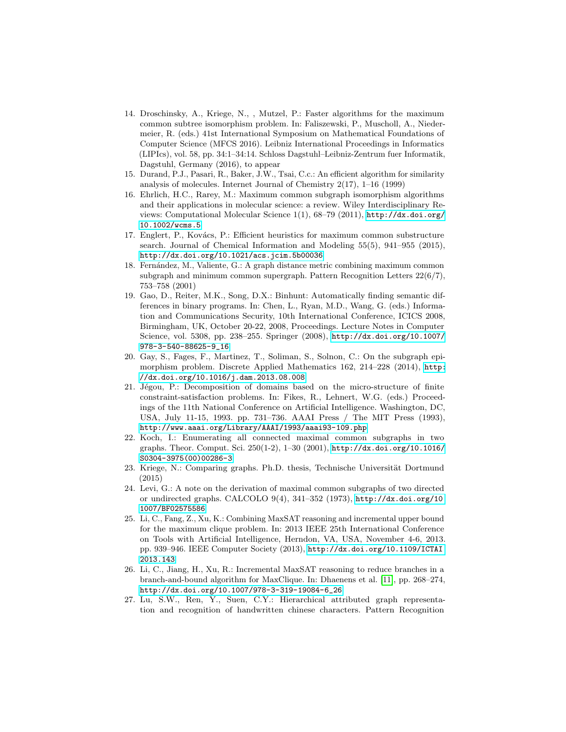- <span id="page-17-11"></span>14. Droschinsky, A., Kriege, N., , Mutzel, P.: Faster algorithms for the maximum common subtree isomorphism problem. In: Faliszewski, P., Muscholl, A., Niedermeier, R. (eds.) 41st International Symposium on Mathematical Foundations of Computer Science (MFCS 2016). Leibniz International Proceedings in Informatics (LIPIcs), vol. 58, pp. 34:1–34:14. Schloss Dagstuhl–Leibniz-Zentrum fuer Informatik, Dagstuhl, Germany (2016), to appear
- <span id="page-17-7"></span>15. Durand, P.J., Pasari, R., Baker, J.W., Tsai, C.c.: An efficient algorithm for similarity analysis of molecules. Internet Journal of Chemistry 2(17), 1–16 (1999)
- <span id="page-17-0"></span>16. Ehrlich, H.C., Rarey, M.: Maximum common subgraph isomorphism algorithms and their applications in molecular science: a review. Wiley Interdisciplinary Reviews: Computational Molecular Science 1(1), 68–79 (2011), [http://dx.doi.org/](http://dx.doi.org/10.1002/wcms.5) [10.1002/wcms.5](http://dx.doi.org/10.1002/wcms.5)
- <span id="page-17-6"></span>17. Englert, P., Kovács, P.: Efficient heuristics for maximum common substructure search. Journal of Chemical Information and Modeling 55(5), 941–955 (2015), <http://dx.doi.org/10.1021/acs.jcim.5b00036>
- <span id="page-17-4"></span>18. Fern´andez, M., Valiente, G.: A graph distance metric combining maximum common subgraph and minimum common supergraph. Pattern Recognition Letters  $22(6/7)$ , 753–758 (2001)
- <span id="page-17-2"></span>19. Gao, D., Reiter, M.K., Song, D.X.: Binhunt: Automatically finding semantic differences in binary programs. In: Chen, L., Ryan, M.D., Wang, G. (eds.) Information and Communications Security, 10th International Conference, ICICS 2008, Birmingham, UK, October 20-22, 2008, Proceedings. Lecture Notes in Computer Science, vol. 5308, pp. 238–255. Springer (2008), [http://dx.doi.org/10.1007/](http://dx.doi.org/10.1007/978-3-540-88625-9_16) [978-3-540-88625-9\\_16](http://dx.doi.org/10.1007/978-3-540-88625-9_16)
- <span id="page-17-1"></span>20. Gay, S., Fages, F., Martinez, T., Soliman, S., Solnon, C.: On the subgraph epimorphism problem. Discrete Applied Mathematics 162, 214–228 (2014), [http:](http://dx.doi.org/10.1016/j.dam.2013.08.008) [//dx.doi.org/10.1016/j.dam.2013.08.008](http://dx.doi.org/10.1016/j.dam.2013.08.008)
- <span id="page-17-9"></span>21. Jégou, P.: Decomposition of domains based on the micro-structure of finite constraint-satisfaction problems. In: Fikes, R., Lehnert, W.G. (eds.) Proceedings of the 11th National Conference on Artificial Intelligence. Washington, DC, USA, July 11-15, 1993. pp. 731–736. AAAI Press / The MIT Press (1993), <http://www.aaai.org/Library/AAAI/1993/aaai93-109.php>
- <span id="page-17-10"></span>22. Koch, I.: Enumerating all connected maximal common subgraphs in two graphs. Theor. Comput. Sci. 250(1-2), 1–30 (2001), [http://dx.doi.org/10.1016/](http://dx.doi.org/10.1016/S0304-3975(00)00286-3) [S0304-3975\(00\)00286-3](http://dx.doi.org/10.1016/S0304-3975(00)00286-3)
- <span id="page-17-5"></span>23. Kriege, N.: Comparing graphs. Ph.D. thesis, Technische Universität Dortmund (2015)
- <span id="page-17-8"></span>24. Levi, G.: A note on the derivation of maximal common subgraphs of two directed or undirected graphs. CALCOLO 9(4), 341–352 (1973), [http://dx.doi.org/10.](http://dx.doi.org/10.1007/BF02575586) [1007/BF02575586](http://dx.doi.org/10.1007/BF02575586)
- <span id="page-17-12"></span>25. Li, C., Fang, Z., Xu, K.: Combining MaxSAT reasoning and incremental upper bound for the maximum clique problem. In: 2013 IEEE 25th International Conference on Tools with Artificial Intelligence, Herndon, VA, USA, November 4-6, 2013. pp. 939–946. IEEE Computer Society (2013), [http://dx.doi.org/10.1109/ICTAI.](http://dx.doi.org/10.1109/ICTAI.2013.143) [2013.143](http://dx.doi.org/10.1109/ICTAI.2013.143)
- <span id="page-17-13"></span>26. Li, C., Jiang, H., Xu, R.: Incremental MaxSAT reasoning to reduce branches in a branch-and-bound algorithm for MaxClique. In: Dhaenens et al. [\[11\]](#page-16-12), pp. 268–274, [http://dx.doi.org/10.1007/978-3-319-19084-6\\_26](http://dx.doi.org/10.1007/978-3-319-19084-6_26)
- <span id="page-17-3"></span>27. Lu, S.W., Ren, Y., Suen, C.Y.: Hierarchical attributed graph representation and recognition of handwritten chinese characters. Pattern Recognition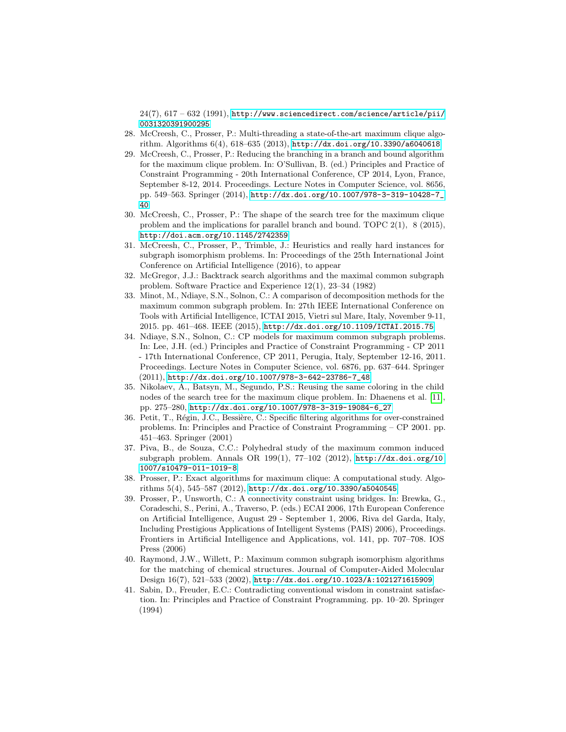$24(7), 617 - 632$  (1991), [http://www.sciencedirect.com/science/article/pii/](http://www.sciencedirect.com/science/article/pii/0031320391900295) [0031320391900295](http://www.sciencedirect.com/science/article/pii/0031320391900295)

- <span id="page-18-12"></span>28. McCreesh, C., Prosser, P.: Multi-threading a state-of-the-art maximum clique algorithm. Algorithms 6(4), 618–635 (2013), <http://dx.doi.org/10.3390/a6040618>
- <span id="page-18-10"></span>29. McCreesh, C., Prosser, P.: Reducing the branching in a branch and bound algorithm for the maximum clique problem. In: O'Sullivan, B. (ed.) Principles and Practice of Constraint Programming - 20th International Conference, CP 2014, Lyon, France, September 8-12, 2014. Proceedings. Lecture Notes in Computer Science, vol. 8656, pp. 549–563. Springer (2014), [http://dx.doi.org/10.1007/978-3-319-10428-7\\_](http://dx.doi.org/10.1007/978-3-319-10428-7_40) [40](http://dx.doi.org/10.1007/978-3-319-10428-7_40)
- <span id="page-18-7"></span>30. McCreesh, C., Prosser, P.: The shape of the search tree for the maximum clique problem and the implications for parallel branch and bound. TOPC 2(1), 8 (2015), <http://doi.acm.org/10.1145/2742359>
- <span id="page-18-3"></span>31. McCreesh, C., Prosser, P., Trimble, J.: Heuristics and really hard instances for subgraph isomorphism problems. In: Proceedings of the 25th International Joint Conference on Artificial Intelligence (2016), to appear
- <span id="page-18-4"></span>32. McGregor, J.J.: Backtrack search algorithms and the maximal common subgraph problem. Software Practice and Experience 12(1), 23–34 (1982)
- <span id="page-18-13"></span>33. Minot, M., Ndiaye, S.N., Solnon, C.: A comparison of decomposition methods for the maximum common subgraph problem. In: 27th IEEE International Conference on Tools with Artificial Intelligence, ICTAI 2015, Vietri sul Mare, Italy, November 9-11, 2015. pp. 461–468. IEEE (2015), <http://dx.doi.org/10.1109/ICTAI.2015.75>
- <span id="page-18-1"></span>34. Ndiaye, S.N., Solnon, C.: CP models for maximum common subgraph problems. In: Lee, J.H. (ed.) Principles and Practice of Constraint Programming - CP 2011 - 17th International Conference, CP 2011, Perugia, Italy, September 12-16, 2011. Proceedings. Lecture Notes in Computer Science, vol. 6876, pp. 637–644. Springer (2011), [http://dx.doi.org/10.1007/978-3-642-23786-7\\_48](http://dx.doi.org/10.1007/978-3-642-23786-7_48)
- <span id="page-18-11"></span>35. Nikolaev, A., Batsyn, M., Segundo, P.S.: Reusing the same coloring in the child nodes of the search tree for the maximum clique problem. In: Dhaenens et al. [\[11\]](#page-16-12), pp. 275–280, [http://dx.doi.org/10.1007/978-3-319-19084-6\\_27](http://dx.doi.org/10.1007/978-3-319-19084-6_27)
- <span id="page-18-6"></span>36. Petit, T., Régin, J.C., Bessière, C.: Specific filtering algorithms for over-constrained problems. In: Principles and Practice of Constraint Programming – CP 2001. pp. 451–463. Springer (2001)
- <span id="page-18-2"></span>37. Piva, B., de Souza, C.C.: Polyhedral study of the maximum common induced subgraph problem. Annals OR 199(1), 77–102 (2012), [http://dx.doi.org/10.](http://dx.doi.org/10.1007/s10479-011-1019-8) [1007/s10479-011-1019-8](http://dx.doi.org/10.1007/s10479-011-1019-8)
- <span id="page-18-8"></span>38. Prosser, P.: Exact algorithms for maximum clique: A computational study. Algorithms 5(4), 545–587 (2012), <http://dx.doi.org/10.3390/a5040545>
- <span id="page-18-9"></span>39. Prosser, P., Unsworth, C.: A connectivity constraint using bridges. In: Brewka, G., Coradeschi, S., Perini, A., Traverso, P. (eds.) ECAI 2006, 17th European Conference on Artificial Intelligence, August 29 - September 1, 2006, Riva del Garda, Italy, Including Prestigious Applications of Intelligent Systems (PAIS) 2006), Proceedings. Frontiers in Artificial Intelligence and Applications, vol. 141, pp. 707–708. IOS Press (2006)
- <span id="page-18-0"></span>40. Raymond, J.W., Willett, P.: Maximum common subgraph isomorphism algorithms for the matching of chemical structures. Journal of Computer-Aided Molecular Design 16(7), 521–533 (2002), <http://dx.doi.org/10.1023/A:1021271615909>
- <span id="page-18-5"></span>41. Sabin, D., Freuder, E.C.: Contradicting conventional wisdom in constraint satisfaction. In: Principles and Practice of Constraint Programming. pp. 10–20. Springer (1994)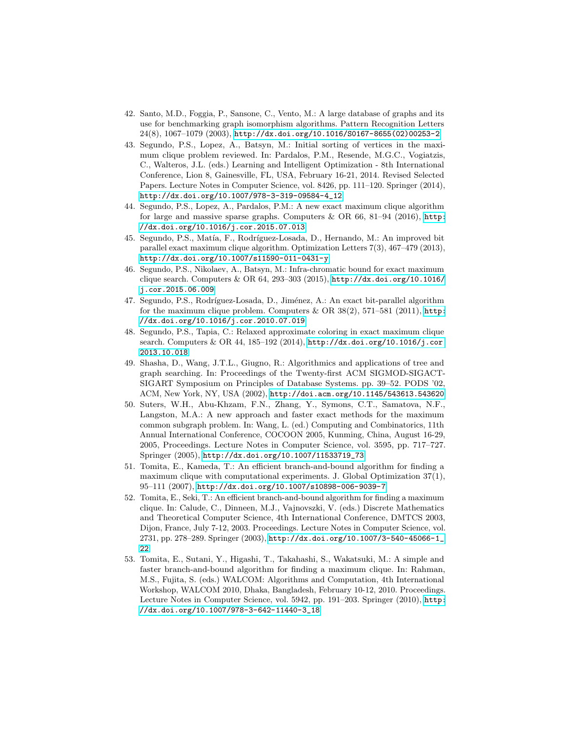- <span id="page-19-5"></span>42. Santo, M.D., Foggia, P., Sansone, C., Vento, M.: A large database of graphs and its use for benchmarking graph isomorphism algorithms. Pattern Recognition Letters 24(8), 1067–1079 (2003), [http://dx.doi.org/10.1016/S0167-8655\(02\)00253-2](http://dx.doi.org/10.1016/S0167-8655(02)00253-2)
- <span id="page-19-8"></span>43. Segundo, P.S., Lopez, A., Batsyn, M.: Initial sorting of vertices in the maximum clique problem reviewed. In: Pardalos, P.M., Resende, M.G.C., Vogiatzis, C., Walteros, J.L. (eds.) Learning and Intelligent Optimization - 8th International Conference, Lion 8, Gainesville, FL, USA, February 16-21, 2014. Revised Selected Papers. Lecture Notes in Computer Science, vol. 8426, pp. 111–120. Springer (2014), [http://dx.doi.org/10.1007/978-3-319-09584-4\\_12](http://dx.doi.org/10.1007/978-3-319-09584-4_12)
- <span id="page-19-10"></span>44. Segundo, P.S., Lopez, A., Pardalos, P.M.: A new exact maximum clique algorithm for large and massive sparse graphs. Computers  $\&$  OR 66, 81–94 (2016), [http:](http://dx.doi.org/10.1016/j.cor.2015.07.013) [//dx.doi.org/10.1016/j.cor.2015.07.013](http://dx.doi.org/10.1016/j.cor.2015.07.013)
- <span id="page-19-3"></span>45. Segundo, P.S., Matía, F., Rodríguez-Losada, D., Hernando, M.: An improved bit parallel exact maximum clique algorithm. Optimization Letters 7(3), 467–479 (2013), <http://dx.doi.org/10.1007/s11590-011-0431-y>
- <span id="page-19-7"></span>46. Segundo, P.S., Nikolaev, A., Batsyn, M.: Infra-chromatic bound for exact maximum clique search. Computers & OR 64, 293–303 (2015), [http://dx.doi.org/10.1016/](http://dx.doi.org/10.1016/j.cor.2015.06.009) [j.cor.2015.06.009](http://dx.doi.org/10.1016/j.cor.2015.06.009)
- <span id="page-19-4"></span>47. Segundo, P.S., Rodríguez-Losada, D., Jiménez, A.: An exact bit-parallel algorithm for the maximum clique problem. Computers  $\&$  OR 38(2), 571–581 (2011), [http:](http://dx.doi.org/10.1016/j.cor.2010.07.019) [//dx.doi.org/10.1016/j.cor.2010.07.019](http://dx.doi.org/10.1016/j.cor.2010.07.019)
- <span id="page-19-6"></span>48. Segundo, P.S., Tapia, C.: Relaxed approximate coloring in exact maximum clique search. Computers & OR 44, 185–192 (2014), [http://dx.doi.org/10.1016/j.cor.](http://dx.doi.org/10.1016/j.cor.2013.10.018) [2013.10.018](http://dx.doi.org/10.1016/j.cor.2013.10.018)
- <span id="page-19-0"></span>49. Shasha, D., Wang, J.T.L., Giugno, R.: Algorithmics and applications of tree and graph searching. In: Proceedings of the Twenty-first ACM SIGMOD-SIGACT-SIGART Symposium on Principles of Database Systems. pp. 39–52. PODS '02, ACM, New York, NY, USA (2002), <http://doi.acm.org/10.1145/543613.543620>
- <span id="page-19-9"></span>50. Suters, W.H., Abu-Khzam, F.N., Zhang, Y., Symons, C.T., Samatova, N.F., Langston, M.A.: A new approach and faster exact methods for the maximum common subgraph problem. In: Wang, L. (ed.) Computing and Combinatorics, 11th Annual International Conference, COCOON 2005, Kunming, China, August 16-29, 2005, Proceedings. Lecture Notes in Computer Science, vol. 3595, pp. 717–727. Springer (2005), [http://dx.doi.org/10.1007/11533719\\_73](http://dx.doi.org/10.1007/11533719_73)
- <span id="page-19-1"></span>51. Tomita, E., Kameda, T.: An efficient branch-and-bound algorithm for finding a maximum clique with computational experiments. J. Global Optimization 37(1), 95–111 (2007), <http://dx.doi.org/10.1007/s10898-006-9039-7>
- 52. Tomita, E., Seki, T.: An efficient branch-and-bound algorithm for finding a maximum clique. In: Calude, C., Dinneen, M.J., Vajnovszki, V. (eds.) Discrete Mathematics and Theoretical Computer Science, 4th International Conference, DMTCS 2003, Dijon, France, July 7-12, 2003. Proceedings. Lecture Notes in Computer Science, vol. 2731, pp. 278–289. Springer (2003), [http://dx.doi.org/10.1007/3-540-45066-1\\_](http://dx.doi.org/10.1007/3-540-45066-1_22) [22](http://dx.doi.org/10.1007/3-540-45066-1_22)
- <span id="page-19-2"></span>53. Tomita, E., Sutani, Y., Higashi, T., Takahashi, S., Wakatsuki, M.: A simple and faster branch-and-bound algorithm for finding a maximum clique. In: Rahman, M.S., Fujita, S. (eds.) WALCOM: Algorithms and Computation, 4th International Workshop, WALCOM 2010, Dhaka, Bangladesh, February 10-12, 2010. Proceedings. Lecture Notes in Computer Science, vol. 5942, pp. 191–203. Springer (2010), [http:](http://dx.doi.org/10.1007/978-3-642-11440-3_18) [//dx.doi.org/10.1007/978-3-642-11440-3\\_18](http://dx.doi.org/10.1007/978-3-642-11440-3_18)